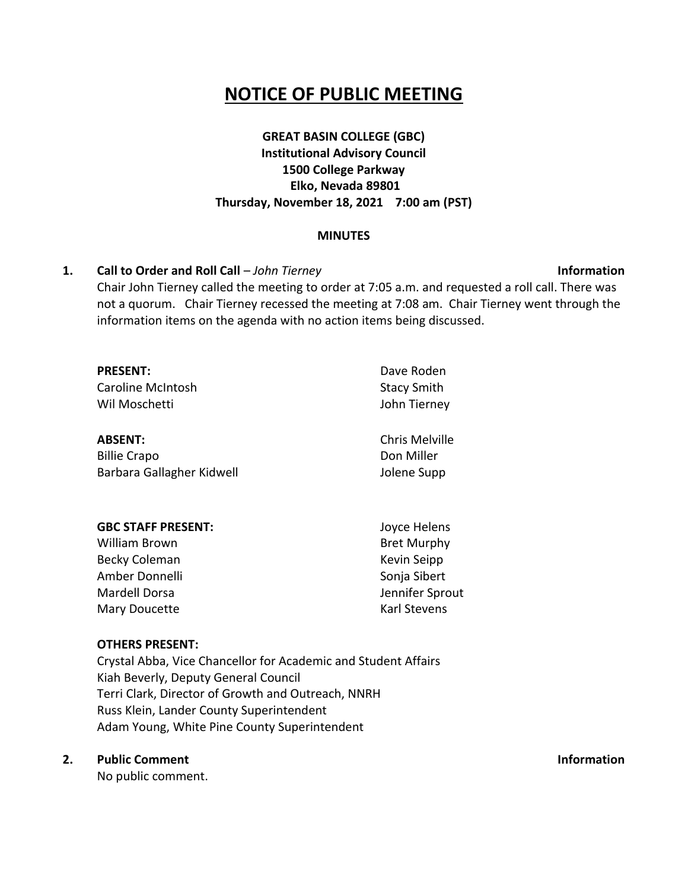# **NOTICE OF PUBLIC MEETING**

# **GREAT BASIN COLLEGE (GBC) Institutional Advisory Council 1500 College Parkway Elko, Nevada 89801 Thursday, November 18, 2021 7:00 am (PST)**

#### **MINUTES**

#### **1. Call to Order and Roll Call** – *John Tierney* **Information**

Chair John Tierney called the meeting to order at 7:05 a.m. and requested a roll call. There was not a quorum. Chair Tierney recessed the meeting at 7:08 am. Chair Tierney went through the information items on the agenda with no action items being discussed.

| <b>PRESENT:</b><br>Caroline McIntosh<br>Wil Moschetti | Dave Roden<br><b>Stacy Smith</b><br>John Tierney |
|-------------------------------------------------------|--------------------------------------------------|
| <b>ABSENT:</b>                                        | Chris Melville                                   |
| <b>Billie Crapo</b>                                   | Don Miller                                       |
| Barbara Gallagher Kidwell                             | Jolene Supp                                      |

| <b>GBC STAFF PRESENT:</b> | Joyce Helens        |
|---------------------------|---------------------|
| William Brown             | <b>Bret Murphy</b>  |
| Becky Coleman             | Kevin Seipp         |
| Amber Donnelli            | Sonja Sibert        |
| Mardell Dorsa             | Jennifer Sprout     |
| Mary Doucette             | <b>Karl Stevens</b> |

#### **OTHERS PRESENT:**

Crystal Abba, Vice Chancellor for Academic and Student Affairs Kiah Beverly, Deputy General Council Terri Clark, Director of Growth and Outreach, NNRH Russ Klein, Lander County Superintendent Adam Young, White Pine County Superintendent

### **2. Public Comment**

No public comment.

**Information**